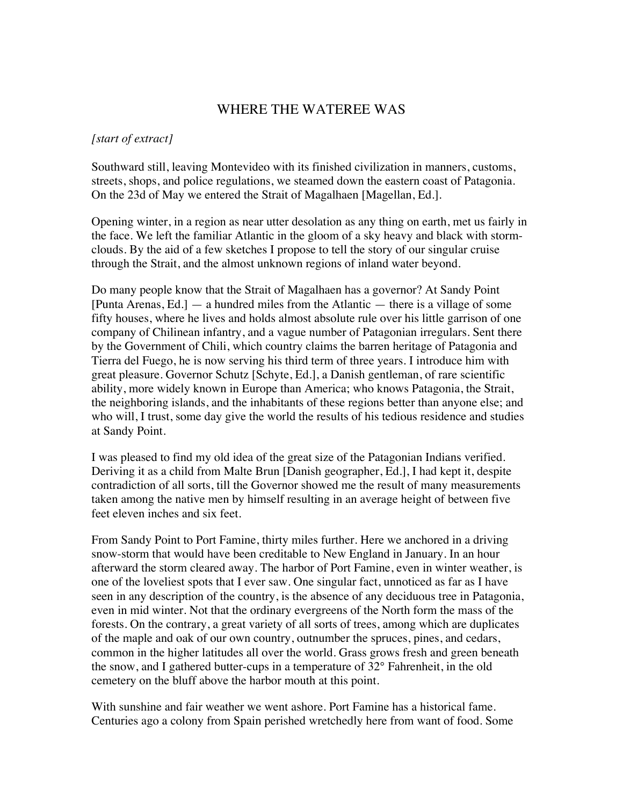## WHERE THE WATEREE WAS

## *[start of extract]*

Southward still, leaving Montevideo with its finished civilization in manners, customs, streets, shops, and police regulations, we steamed down the eastern coast of Patagonia. On the 23d of May we entered the Strait of Magalhaen [Magellan, Ed.].

Opening winter, in a region as near utter desolation as any thing on earth, met us fairly in the face. We left the familiar Atlantic in the gloom of a sky heavy and black with stormclouds. By the aid of a few sketches I propose to tell the story of our singular cruise through the Strait, and the almost unknown regions of inland water beyond.

Do many people know that the Strait of Magalhaen has a governor? At Sandy Point [Punta Arenas, Ed.] — a hundred miles from the Atlantic — there is a village of some fifty houses, where he lives and holds almost absolute rule over his little garrison of one company of Chilinean infantry, and a vague number of Patagonian irregulars. Sent there by the Government of Chili, which country claims the barren heritage of Patagonia and Tierra del Fuego, he is now serving his third term of three years. I introduce him with great pleasure. Governor Schutz [Schyte, Ed.], a Danish gentleman, of rare scientific ability, more widely known in Europe than America; who knows Patagonia, the Strait, the neighboring islands, and the inhabitants of these regions better than anyone else; and who will, I trust, some day give the world the results of his tedious residence and studies at Sandy Point.

I was pleased to find my old idea of the great size of the Patagonian Indians verified. Deriving it as a child from Malte Brun [Danish geographer, Ed.], I had kept it, despite contradiction of all sorts, till the Governor showed me the result of many measurements taken among the native men by himself resulting in an average height of between five feet eleven inches and six feet.

From Sandy Point to Port Famine, thirty miles further. Here we anchored in a driving snow-storm that would have been creditable to New England in January. In an hour afterward the storm cleared away. The harbor of Port Famine, even in winter weather, is one of the loveliest spots that I ever saw. One singular fact, unnoticed as far as I have seen in any description of the country, is the absence of any deciduous tree in Patagonia, even in mid winter. Not that the ordinary evergreens of the North form the mass of the forests. On the contrary, a great variety of all sorts of trees, among which are duplicates of the maple and oak of our own country, outnumber the spruces, pines, and cedars, common in the higher latitudes all over the world. Grass grows fresh and green beneath the snow, and I gathered butter-cups in a temperature of 32° Fahrenheit, in the old cemetery on the bluff above the harbor mouth at this point.

With sunshine and fair weather we went ashore. Port Famine has a historical fame. Centuries ago a colony from Spain perished wretchedly here from want of food. Some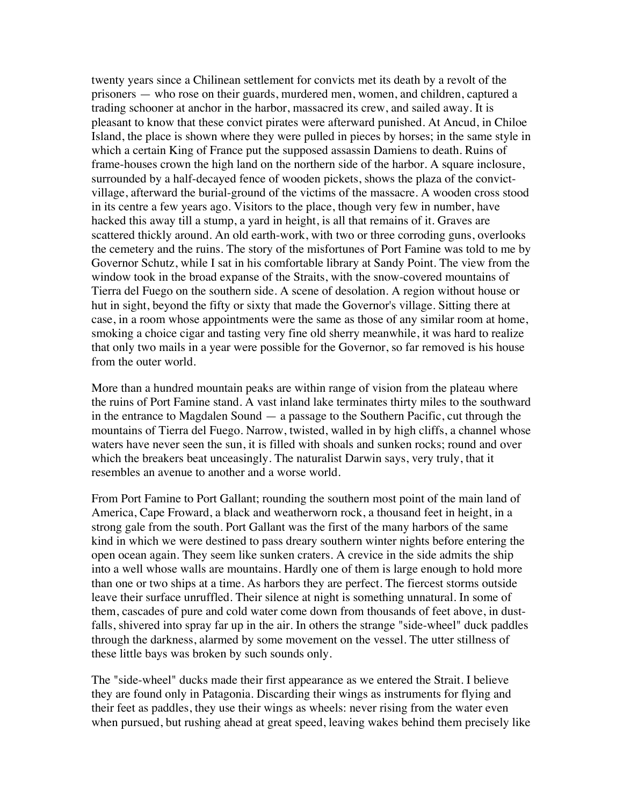twenty years since a Chilinean settlement for convicts met its death by a revolt of the prisoners — who rose on their guards, murdered men, women, and children, captured a trading schooner at anchor in the harbor, massacred its crew, and sailed away. It is pleasant to know that these convict pirates were afterward punished. At Ancud, in Chiloe Island, the place is shown where they were pulled in pieces by horses; in the same style in which a certain King of France put the supposed assassin Damiens to death. Ruins of frame-houses crown the high land on the northern side of the harbor. A square inclosure, surrounded by a half-decayed fence of wooden pickets, shows the plaza of the convictvillage, afterward the burial-ground of the victims of the massacre. A wooden cross stood in its centre a few years ago. Visitors to the place, though very few in number, have hacked this away till a stump, a yard in height, is all that remains of it. Graves are scattered thickly around. An old earth-work, with two or three corroding guns, overlooks the cemetery and the ruins. The story of the misfortunes of Port Famine was told to me by Governor Schutz, while I sat in his comfortable library at Sandy Point. The view from the window took in the broad expanse of the Straits, with the snow-covered mountains of Tierra del Fuego on the southern side. A scene of desolation. A region without house or hut in sight, beyond the fifty or sixty that made the Governor's village. Sitting there at case, in a room whose appointments were the same as those of any similar room at home, smoking a choice cigar and tasting very fine old sherry meanwhile, it was hard to realize that only two mails in a year were possible for the Governor, so far removed is his house from the outer world.

More than a hundred mountain peaks are within range of vision from the plateau where the ruins of Port Famine stand. A vast inland lake terminates thirty miles to the southward in the entrance to Magdalen Sound — a passage to the Southern Pacific, cut through the mountains of Tierra del Fuego. Narrow, twisted, walled in by high cliffs, a channel whose waters have never seen the sun, it is filled with shoals and sunken rocks; round and over which the breakers beat unceasingly. The naturalist Darwin says, very truly, that it resembles an avenue to another and a worse world.

From Port Famine to Port Gallant; rounding the southern most point of the main land of America, Cape Froward, a black and weatherworn rock, a thousand feet in height, in a strong gale from the south. Port Gallant was the first of the many harbors of the same kind in which we were destined to pass dreary southern winter nights before entering the open ocean again. They seem like sunken craters. A crevice in the side admits the ship into a well whose walls are mountains. Hardly one of them is large enough to hold more than one or two ships at a time. As harbors they are perfect. The fiercest storms outside leave their surface unruffled. Their silence at night is something unnatural. In some of them, cascades of pure and cold water come down from thousands of feet above, in dustfalls, shivered into spray far up in the air. In others the strange "side-wheel" duck paddles through the darkness, alarmed by some movement on the vessel. The utter stillness of these little bays was broken by such sounds only.

The "side-wheel" ducks made their first appearance as we entered the Strait. I believe they are found only in Patagonia. Discarding their wings as instruments for flying and their feet as paddles, they use their wings as wheels: never rising from the water even when pursued, but rushing ahead at great speed, leaving wakes behind them precisely like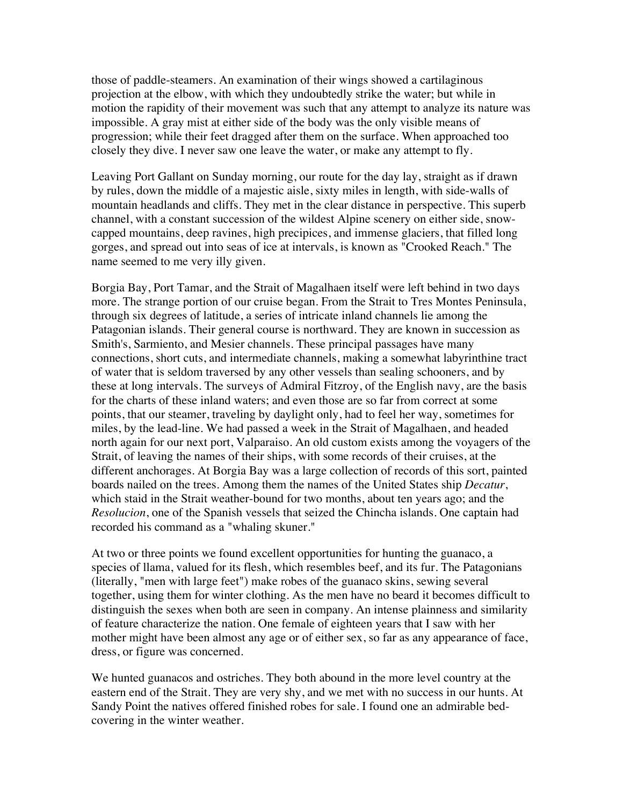those of paddle-steamers. An examination of their wings showed a cartilaginous projection at the elbow, with which they undoubtedly strike the water; but while in motion the rapidity of their movement was such that any attempt to analyze its nature was impossible. A gray mist at either side of the body was the only visible means of progression; while their feet dragged after them on the surface. When approached too closely they dive. I never saw one leave the water, or make any attempt to fly.

Leaving Port Gallant on Sunday morning, our route for the day lay, straight as if drawn by rules, down the middle of a majestic aisle, sixty miles in length, with side-walls of mountain headlands and cliffs. They met in the clear distance in perspective. This superb channel, with a constant succession of the wildest Alpine scenery on either side, snowcapped mountains, deep ravines, high precipices, and immense glaciers, that filled long gorges, and spread out into seas of ice at intervals, is known as "Crooked Reach." The name seemed to me very illy given.

Borgia Bay, Port Tamar, and the Strait of Magalhaen itself were left behind in two days more. The strange portion of our cruise began. From the Strait to Tres Montes Peninsula, through six degrees of latitude, a series of intricate inland channels lie among the Patagonian islands. Their general course is northward. They are known in succession as Smith's, Sarmiento, and Mesier channels. These principal passages have many connections, short cuts, and intermediate channels, making a somewhat labyrinthine tract of water that is seldom traversed by any other vessels than sealing schooners, and by these at long intervals. The surveys of Admiral Fitzroy, of the English navy, are the basis for the charts of these inland waters; and even those are so far from correct at some points, that our steamer, traveling by daylight only, had to feel her way, sometimes for miles, by the lead-line. We had passed a week in the Strait of Magalhaen, and headed north again for our next port, Valparaiso. An old custom exists among the voyagers of the Strait, of leaving the names of their ships, with some records of their cruises, at the different anchorages. At Borgia Bay was a large collection of records of this sort, painted boards nailed on the trees. Among them the names of the United States ship *Decatur*, which staid in the Strait weather-bound for two months, about ten years ago; and the *Resolucion*, one of the Spanish vessels that seized the Chincha islands. One captain had recorded his command as a "whaling skuner."

At two or three points we found excellent opportunities for hunting the guanaco, a species of llama, valued for its flesh, which resembles beef, and its fur. The Patagonians (literally, "men with large feet") make robes of the guanaco skins, sewing several together, using them for winter clothing. As the men have no beard it becomes difficult to distinguish the sexes when both are seen in company. An intense plainness and similarity of feature characterize the nation. One female of eighteen years that I saw with her mother might have been almost any age or of either sex, so far as any appearance of face, dress, or figure was concerned.

We hunted guanacos and ostriches. They both abound in the more level country at the eastern end of the Strait. They are very shy, and we met with no success in our hunts. At Sandy Point the natives offered finished robes for sale. I found one an admirable bedcovering in the winter weather.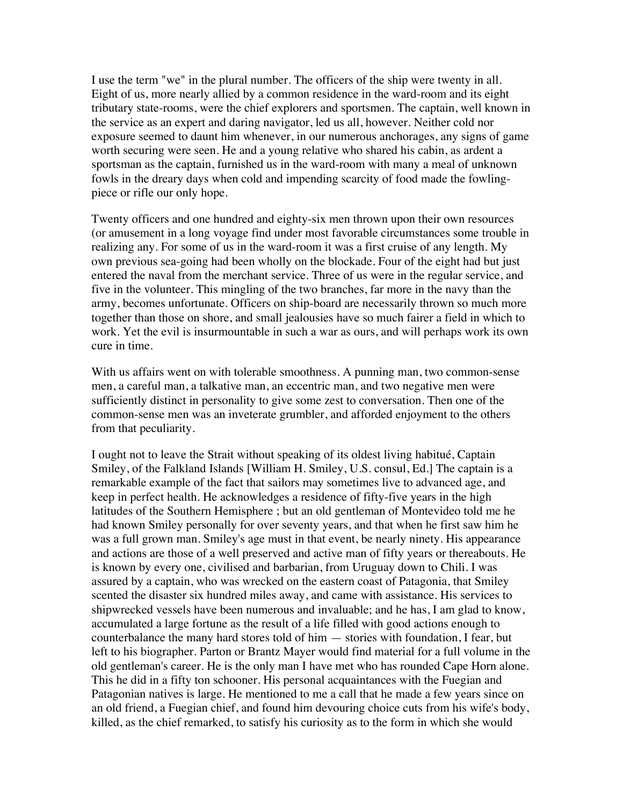I use the term "we" in the plural number. The officers of the ship were twenty in all. Eight of us, more nearly allied by a common residence in the ward-room and its eight tributary state-rooms, were the chief explorers and sportsmen. The captain, well known in the service as an expert and daring navigator, led us all, however. Neither cold nor exposure seemed to daunt him whenever, in our numerous anchorages, any signs of game worth securing were seen. He and a young relative who shared his cabin, as ardent a sportsman as the captain, furnished us in the ward-room with many a meal of unknown fowls in the dreary days when cold and impending scarcity of food made the fowlingpiece or rifle our only hope.

Twenty officers and one hundred and eighty-six men thrown upon their own resources (or amusement in a long voyage find under most favorable circumstances some trouble in realizing any. For some of us in the ward-room it was a first cruise of any length. My own previous sea-going had been wholly on the blockade. Four of the eight had but just entered the naval from the merchant service. Three of us were in the regular service, and five in the volunteer. This mingling of the two branches, far more in the navy than the army, becomes unfortunate. Officers on ship-board are necessarily thrown so much more together than those on shore, and small jealousies have so much fairer a field in which to work. Yet the evil is insurmountable in such a war as ours, and will perhaps work its own cure in time.

With us affairs went on with tolerable smoothness. A punning man, two common-sense men, a careful man, a talkative man, an eccentric man, and two negative men were sufficiently distinct in personality to give some zest to conversation. Then one of the common-sense men was an inveterate grumbler, and afforded enjoyment to the others from that peculiarity.

I ought not to leave the Strait without speaking of its oldest living habitué, Captain Smiley, of the Falkland Islands [William H. Smiley, U.S. consul, Ed.] The captain is a remarkable example of the fact that sailors may sometimes live to advanced age, and keep in perfect health. He acknowledges a residence of fifty-five years in the high latitudes of the Southern Hemisphere ; but an old gentleman of Montevideo told me he had known Smiley personally for over seventy years, and that when he first saw him he was a full grown man. Smiley's age must in that event, be nearly ninety. His appearance and actions are those of a well preserved and active man of fifty years or thereabouts. He is known by every one, civilised and barbarian, from Uruguay down to Chili. I was assured by a captain, who was wrecked on the eastern coast of Patagonia, that Smiley scented the disaster six hundred miles away, and came with assistance. His services to shipwrecked vessels have been numerous and invaluable; and he has, I am glad to know, accumulated a large fortune as the result of a life filled with good actions enough to counterbalance the many hard stores told of him — stories with foundation, I fear, but left to his biographer. Parton or Brantz Mayer would find material for a full volume in the old gentleman's career. He is the only man I have met who has rounded Cape Horn alone. This he did in a fifty ton schooner. His personal acquaintances with the Fuegian and Patagonian natives is large. He mentioned to me a call that he made a few years since on an old friend, a Fuegian chief, and found him devouring choice cuts from his wife's body, killed, as the chief remarked, to satisfy his curiosity as to the form in which she would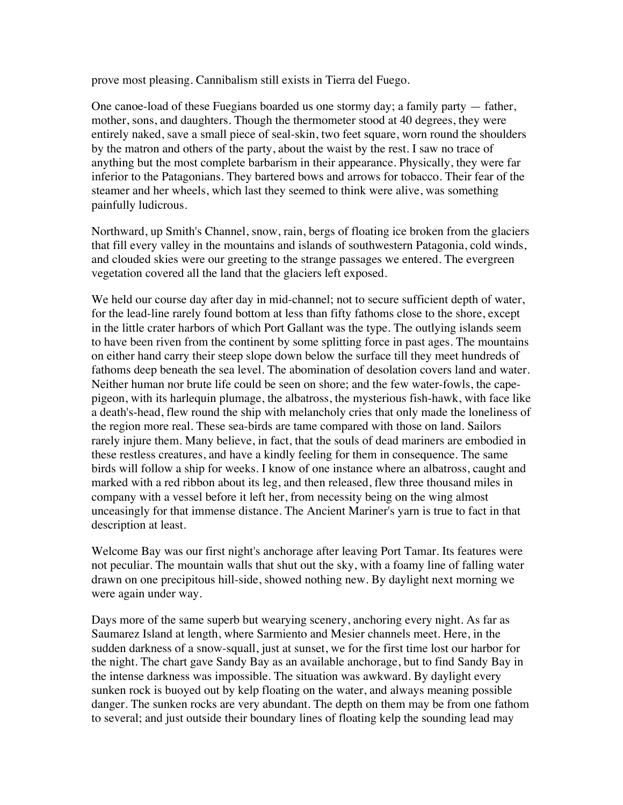prove most pleasing. Cannibalism still exists in Tierra del Fuego.

One canoe-load of these Fuegians boarded us one stormy day; a family party  $-$  father, mother, sons, and daughters. Though the thermometer stood at 40 degrees, they were entirely naked, save a small piece of seal-skin, two feet square, worn round the shoulders by the matron and others of the party, about the waist by the rest. I saw no trace of anything but the most complete barbarism in their appearance. Physically, they were far inferior to the Patagonians. They bartered bows and arrows for tobacco. Their fear of the steamer and her wheels, which last they seemed to think were alive, was something painfully ludicrous.

Northward, up Smith's Channel, snow, rain, bergs of floating ice broken from the glaciers that fill every valley in the mountains and islands of southwestern Patagonia, cold winds, and clouded skies were our greeting to the strange passages we entered. The evergreen vegetation covered all the land that the glaciers left exposed.

We held our course day after day in mid-channel; not to secure sufficient depth of water, for the lead-line rarely found bottom at less than fifty fathoms close to the shore, except in the little crater harbors of which Port Gallant was the type. The outlying islands seem to have been riven from the continent by some splitting force in past ages. The mountains on either hand carry their steep slope down below the surface till they meet hundreds of fathoms deep beneath the sea level. The abomination of desolation covers land and water. Neither human nor brute life could be seen on shore; and the few water-fowls, the capepigeon, with its harlequin plumage, the albatross, the mysterious fish-hawk, with face like a death's-head, flew round the ship with melancholy cries that only made the loneliness of the region more real. These sea-birds are tame compared with those on land. Sailors rarely injure them. Many believe, in fact, that the souls of dead mariners are embodied in these restless creatures, and have a kindly feeling for them in consequence. The same birds will follow a ship for weeks. I know of one instance where an albatross, caught and marked with a red ribbon about its leg, and then released, flew three thousand miles in company with a vessel before it left her, from necessity being on the wing almost unceasingly for that immense distance. The Ancient Mariner's yarn is true to fact in that description at least.

Welcome Bay was our first night's anchorage after leaving Port Tamar. Its features were not peculiar. The mountain walls that shut out the sky, with a foamy line of falling water drawn on one precipitous hill-side, showed nothing new. By daylight next morning we were again under way.

Days more of the same superb but wearying scenery, anchoring every night. As far as Saumarez Island at length, where Sarmiento and Mesier channels meet. Here, in the sudden darkness of a snow-squall, just at sunset, we for the first time lost our harbor for the night. The chart gave Sandy Bay as an available anchorage, but to find Sandy Bay in the intense darkness was impossible. The situation was awkward. By daylight every sunken rock is buoyed out by kelp floating on the water, and always meaning possible danger. The sunken rocks are very abundant. The depth on them may be from one fathom to several; and just outside their boundary lines of floating kelp the sounding lead may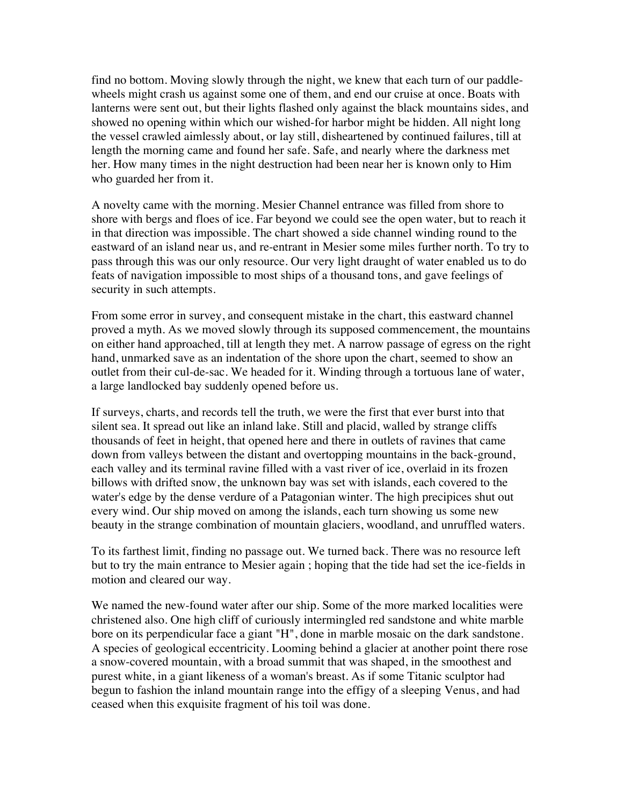find no bottom. Moving slowly through the night, we knew that each turn of our paddlewheels might crash us against some one of them, and end our cruise at once. Boats with lanterns were sent out, but their lights flashed only against the black mountains sides, and showed no opening within which our wished-for harbor might be hidden. All night long the vessel crawled aimlessly about, or lay still, disheartened by continued failures, till at length the morning came and found her safe. Safe, and nearly where the darkness met her. How many times in the night destruction had been near her is known only to Him who guarded her from it.

A novelty came with the morning. Mesier Channel entrance was filled from shore to shore with bergs and floes of ice. Far beyond we could see the open water, but to reach it in that direction was impossible. The chart showed a side channel winding round to the eastward of an island near us, and re-entrant in Mesier some miles further north. To try to pass through this was our only resource. Our very light draught of water enabled us to do feats of navigation impossible to most ships of a thousand tons, and gave feelings of security in such attempts.

From some error in survey, and consequent mistake in the chart, this eastward channel proved a myth. As we moved slowly through its supposed commencement, the mountains on either hand approached, till at length they met. A narrow passage of egress on the right hand, unmarked save as an indentation of the shore upon the chart, seemed to show an outlet from their cul-de-sac. We headed for it. Winding through a tortuous lane of water, a large landlocked bay suddenly opened before us.

If surveys, charts, and records tell the truth, we were the first that ever burst into that silent sea. It spread out like an inland lake. Still and placid, walled by strange cliffs thousands of feet in height, that opened here and there in outlets of ravines that came down from valleys between the distant and overtopping mountains in the back-ground, each valley and its terminal ravine filled with a vast river of ice, overlaid in its frozen billows with drifted snow, the unknown bay was set with islands, each covered to the water's edge by the dense verdure of a Patagonian winter. The high precipices shut out every wind. Our ship moved on among the islands, each turn showing us some new beauty in the strange combination of mountain glaciers, woodland, and unruffled waters.

To its farthest limit, finding no passage out. We turned back. There was no resource left but to try the main entrance to Mesier again ; hoping that the tide had set the ice-fields in motion and cleared our way.

We named the new-found water after our ship. Some of the more marked localities were christened also. One high cliff of curiously intermingled red sandstone and white marble bore on its perpendicular face a giant "H", done in marble mosaic on the dark sandstone. A species of geological eccentricity. Looming behind a glacier at another point there rose a snow-covered mountain, with a broad summit that was shaped, in the smoothest and purest white, in a giant likeness of a woman's breast. As if some Titanic sculptor had begun to fashion the inland mountain range into the effigy of a sleeping Venus, and had ceased when this exquisite fragment of his toil was done.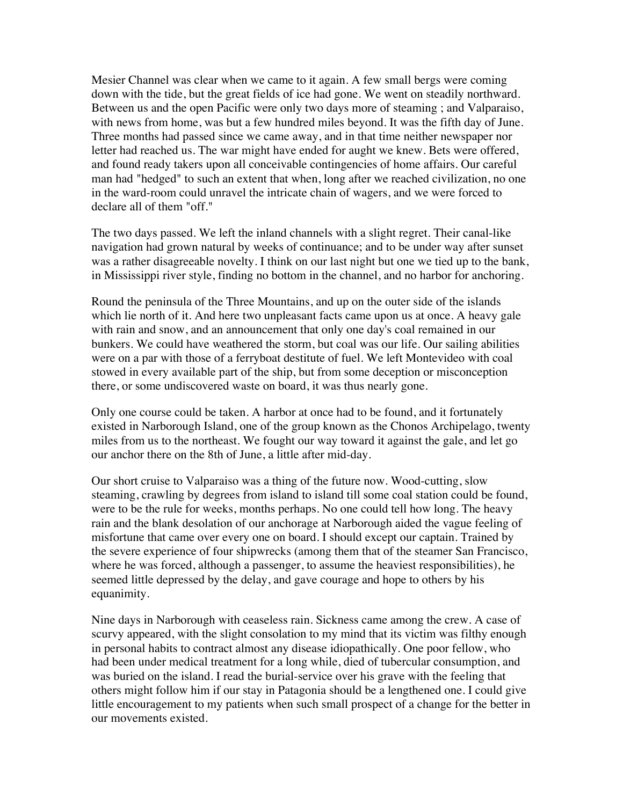Mesier Channel was clear when we came to it again. A few small bergs were coming down with the tide, but the great fields of ice had gone. We went on steadily northward. Between us and the open Pacific were only two days more of steaming ; and Valparaiso, with news from home, was but a few hundred miles beyond. It was the fifth day of June. Three months had passed since we came away, and in that time neither newspaper nor letter had reached us. The war might have ended for aught we knew. Bets were offered, and found ready takers upon all conceivable contingencies of home affairs. Our careful man had "hedged" to such an extent that when, long after we reached civilization, no one in the ward-room could unravel the intricate chain of wagers, and we were forced to declare all of them "off."

The two days passed. We left the inland channels with a slight regret. Their canal-like navigation had grown natural by weeks of continuance; and to be under way after sunset was a rather disagreeable novelty. I think on our last night but one we tied up to the bank, in Mississippi river style, finding no bottom in the channel, and no harbor for anchoring.

Round the peninsula of the Three Mountains, and up on the outer side of the islands which lie north of it. And here two unpleasant facts came upon us at once. A heavy gale with rain and snow, and an announcement that only one day's coal remained in our bunkers. We could have weathered the storm, but coal was our life. Our sailing abilities were on a par with those of a ferryboat destitute of fuel. We left Montevideo with coal stowed in every available part of the ship, but from some deception or misconception there, or some undiscovered waste on board, it was thus nearly gone.

Only one course could be taken. A harbor at once had to be found, and it fortunately existed in Narborough Island, one of the group known as the Chonos Archipelago, twenty miles from us to the northeast. We fought our way toward it against the gale, and let go our anchor there on the 8th of June, a little after mid-day.

Our short cruise to Valparaiso was a thing of the future now. Wood-cutting, slow steaming, crawling by degrees from island to island till some coal station could be found, were to be the rule for weeks, months perhaps. No one could tell how long. The heavy rain and the blank desolation of our anchorage at Narborough aided the vague feeling of misfortune that came over every one on board. I should except our captain. Trained by the severe experience of four shipwrecks (among them that of the steamer San Francisco, where he was forced, although a passenger, to assume the heaviest responsibilities), he seemed little depressed by the delay, and gave courage and hope to others by his equanimity.

Nine days in Narborough with ceaseless rain. Sickness came among the crew. A case of scurvy appeared, with the slight consolation to my mind that its victim was filthy enough in personal habits to contract almost any disease idiopathically. One poor fellow, who had been under medical treatment for a long while, died of tubercular consumption, and was buried on the island. I read the burial-service over his grave with the feeling that others might follow him if our stay in Patagonia should be a lengthened one. I could give little encouragement to my patients when such small prospect of a change for the better in our movements existed.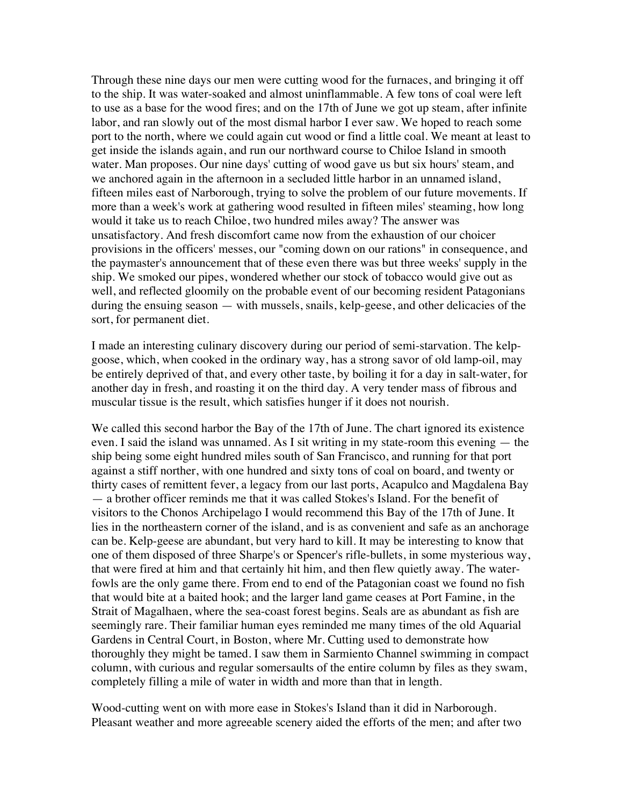Through these nine days our men were cutting wood for the furnaces, and bringing it off to the ship. It was water-soaked and almost uninflammable. A few tons of coal were left to use as a base for the wood fires; and on the 17th of June we got up steam, after infinite labor, and ran slowly out of the most dismal harbor I ever saw. We hoped to reach some port to the north, where we could again cut wood or find a little coal. We meant at least to get inside the islands again, and run our northward course to Chiloe Island in smooth water. Man proposes. Our nine days' cutting of wood gave us but six hours' steam, and we anchored again in the afternoon in a secluded little harbor in an unnamed island, fifteen miles east of Narborough, trying to solve the problem of our future movements. If more than a week's work at gathering wood resulted in fifteen miles' steaming, how long would it take us to reach Chiloe, two hundred miles away? The answer was unsatisfactory. And fresh discomfort came now from the exhaustion of our choicer provisions in the officers' messes, our "coming down on our rations" in consequence, and the paymaster's announcement that of these even there was but three weeks' supply in the ship. We smoked our pipes, wondered whether our stock of tobacco would give out as well, and reflected gloomily on the probable event of our becoming resident Patagonians during the ensuing season — with mussels, snails, kelp-geese, and other delicacies of the sort, for permanent diet.

I made an interesting culinary discovery during our period of semi-starvation. The kelpgoose, which, when cooked in the ordinary way, has a strong savor of old lamp-oil, may be entirely deprived of that, and every other taste, by boiling it for a day in salt-water, for another day in fresh, and roasting it on the third day. A very tender mass of fibrous and muscular tissue is the result, which satisfies hunger if it does not nourish.

We called this second harbor the Bay of the 17th of June. The chart ignored its existence even. I said the island was unnamed. As I sit writing in my state-room this evening — the ship being some eight hundred miles south of San Francisco, and running for that port against a stiff norther, with one hundred and sixty tons of coal on board, and twenty or thirty cases of remittent fever, a legacy from our last ports, Acapulco and Magdalena Bay — a brother officer reminds me that it was called Stokes's Island. For the benefit of visitors to the Chonos Archipelago I would recommend this Bay of the 17th of June. It lies in the northeastern corner of the island, and is as convenient and safe as an anchorage can be. Kelp-geese are abundant, but very hard to kill. It may be interesting to know that one of them disposed of three Sharpe's or Spencer's rifle-bullets, in some mysterious way, that were fired at him and that certainly hit him, and then flew quietly away. The waterfowls are the only game there. From end to end of the Patagonian coast we found no fish that would bite at a baited hook; and the larger land game ceases at Port Famine, in the Strait of Magalhaen, where the sea-coast forest begins. Seals are as abundant as fish are seemingly rare. Their familiar human eyes reminded me many times of the old Aquarial Gardens in Central Court, in Boston, where Mr. Cutting used to demonstrate how thoroughly they might be tamed. I saw them in Sarmiento Channel swimming in compact column, with curious and regular somersaults of the entire column by files as they swam, completely filling a mile of water in width and more than that in length.

Wood-cutting went on with more ease in Stokes's Island than it did in Narborough. Pleasant weather and more agreeable scenery aided the efforts of the men; and after two